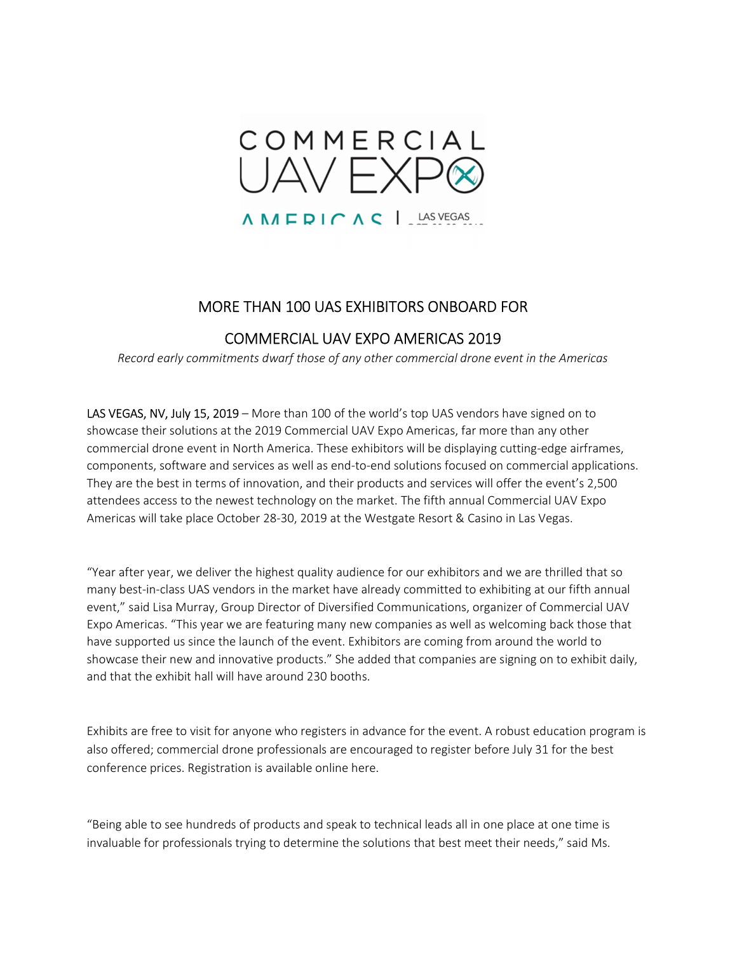

## MORE THAN 100 UAS EXHIBITORS ONBOARD FOR

## COMMERCIAL UAV EXPO AMERICAS 2019

Record early commitments dwarf those of any other commercial drone event in the Americas

LAS VEGAS, NV, July 15, 2019 – More than 100 of the world's top UAS vendors have signed on to showcase their solutions at the 2019 Commercial UAV Expo Americas, far more than any other commercial drone event in North America. These exhibitors will be displaying cutting-edge airframes, components, software and services as well as end-to-end solutions focused on commercial applications. They are the best in terms of innovation, and their products and services will offer the event's 2,500 attendees access to the newest technology on the market. The fifth annual Commercial UAV Expo Americas will take place October 28-30, 2019 at the Westgate Resort & Casino in Las Vegas.

"Year after year, we deliver the highest quality audience for our exhibitors and we are thrilled that so many best-in-class UAS vendors in the market have already committed to exhibiting at our fifth annual event," said Lisa Murray, Group Director of Diversified Communications, organizer of Commercial UAV Expo Americas. "This year we are featuring many new companies as well as welcoming back those that have supported us since the launch of the event. Exhibitors are coming from around the world to showcase their new and innovative products." She added that companies are signing on to exhibit daily, and that the exhibit hall will have around 230 booths.

Exhibits are free to visit for anyone who registers in advance for the event. A robust education program is also offered; commercial drone professionals are encouraged to register before July 31 for the best conference prices. Registration is available online here.

"Being able to see hundreds of products and speak to technical leads all in one place at one time is invaluable for professionals trying to determine the solutions that best meet their needs," said Ms.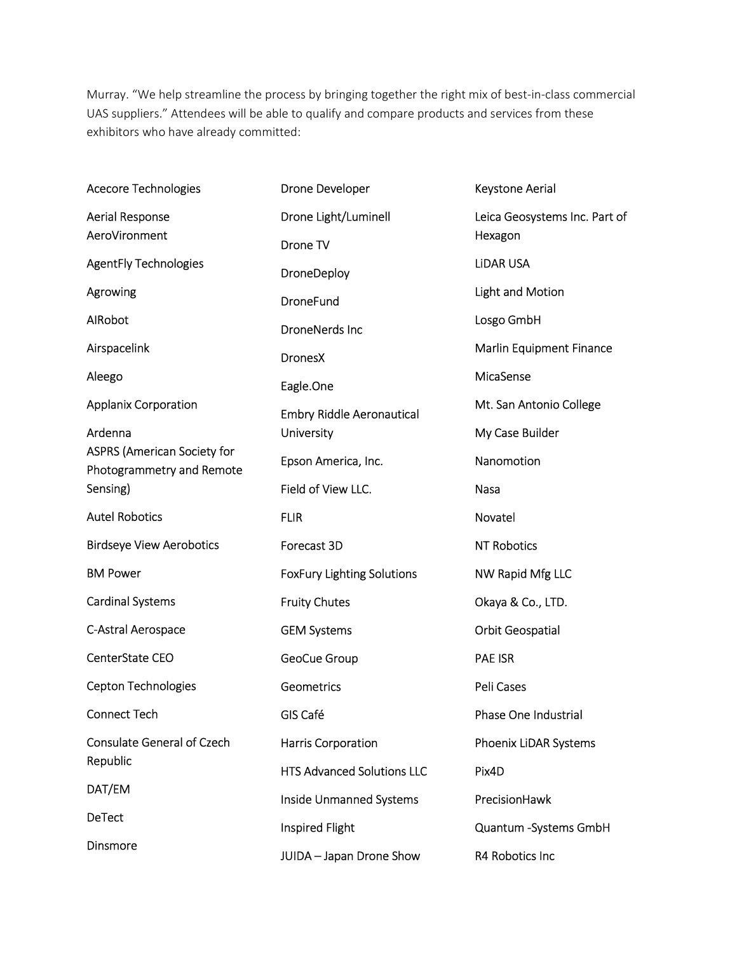Murray. "We help streamline the process by bringing together the right mix of best-in-class commercial UAS suppliers." Attendees will be able to qualify and compare products and services from these exhibitors who have already committed:

Acecore Technologies Aerial Response AeroVironment AgentFly Technologies Agrowing AIRobot Airspacelink Aleego Applanix Corporation Ardenna ASPRS (American Society for Photogrammetry and Remote Sensing) Autel Robotics Birdseye View Aerobotics BM Power Cardinal Systems C-Astral Aerospace CenterState CEO Cepton Technologies Connect Tech Consulate General of Czech Republic DAT/EM DeTect Dinsmore Drone Developer Drone Light/Luminell Drone TV DroneDeploy DroneFund DroneNerds Inc DronesX Eagle.One Embry Riddle Aeronautical **University** Epson America, Inc. Field of View LLC. FLIR Forecast 3D FoxFury Lighting Solutions Fruity Chutes GEM Systems GeoCue Group **Geometrics** GIS Café Harris Corporation HTS Advanced Solutions LLC Inside Unmanned Systems Inspired Flight JUIDA – Japan Drone Show Keystone Aerial Leica Geosystems Inc. Part of Hexagon LiDAR USA Light and Motion Losgo GmbH Marlin Equipment Finance MicaSense Mt. San Antonio College My Case Builder Nanomotion Nasa Novatel NT Robotics NW Rapid Mfg LLC Okaya & Co., LTD. Orbit Geospatial PAE ISR Peli Cases Phase One Industrial Phoenix LiDAR Systems Pix4D PrecisionHawk Quantum -Systems GmbH R4 Robotics Inc